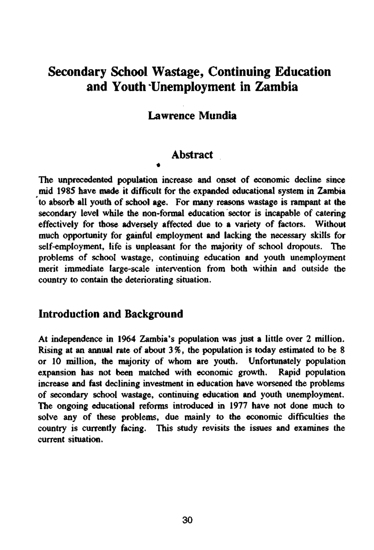# Secondary School Wastage, Continuing Education and Youth 'Unemployment in Zambia

### Lawrence Mundia

#### Abstract

\*

The unprecedented population increase and onset of economic decline since mid 1985 have made it difficult for the expanded educational system in Zambia to absorb all youth of school age. For many reasons wastage is rampant at the secondary level while the non-formal education sector is incapable of catering effectively for those adversely affected due to a variety of factors. Without much opportunity for gainful employment and lacking the necessary skills for self-employment, life is unpleasant for the majority of school dropouts. The problems of school wastage, continuing education and youth unemployment merit immediate large-scale intervention from both within and outside the country to contain the deteriorating situation.

### Introduction and Background

At independence in 1964 Zambia's population was just a little over 2 million. Rising at an annual rate of about 3%, the population is today estimated to be 8 or 10 million, the majority of whom are youth. Unfortunately population expansion has not been matched with economic growth. Rapid population increase and fast declining investment in education have worsened the problems of secondary school wastage, continuing education and youth unemployment. The ongoing educational reforms introduced in 1977 have not done much to solve any of these problems, due mainly to the economic difficulties the country is currently facing. This study revisits the issues and examines the current situation.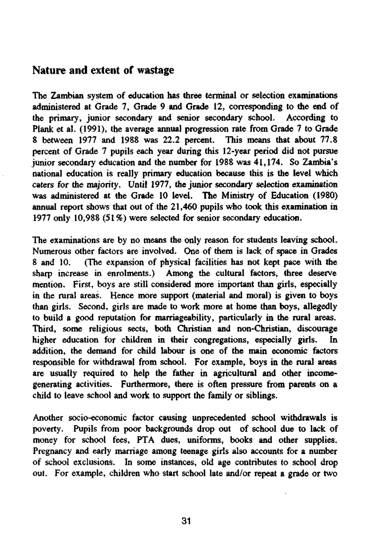### Nature and extent of wastage

The Zambian system of education has three terminal or selection examinations administered at Grade 7, Grade 9 and Grade 12, corresponding to the end of the primary, junior secondary and senior secondary school. According to Plank et al. (1991), the average annual progression rate from Grade 7 to Grade 8 between 1977 and 1988 was 22.2 percent. This means that about 77.8 percent of Grade 7 pupils each year during this 12-year period did not pursue junior secondary education and the number for 1988 was 41,174. So Zambia's national education is really primary education because this is the level which caters for the majority. Until 1977, the junior secondary selection examination was administered at the Grade 10 level. The Ministry of Education (1980) annual report shows that out of the 21,460 pupils who took this examination in 1977 only 10,988 (51%) were selected for senior secondary education.

The examinations are by no means the only reason for students leaving school. Numerous other factors are involved. One of them is lack of space in Grades 8 and 10. (The expansion of physical facilities has not kept pace with the sharp increase in enrolments.) Among the cultural factors, three deserve mention. First, boys are still considered more important than girls, especially in the rural areas. Hence more support (material and moral) is given to boys than girls. Second, girls are made to work more at home than boys, allegedly to build a good reputation for marriageability, particularly in the rural areas. Third, some religious sects, both Christian and non-Christian, discourage higher education for children in their congregations, especially girls. In addition, the demand for child labour is one of the main economic factors responsible for withdrawal from school. For example, boys in the rural areas are usually required to help the father in agricultural and other incomegenerating activities. Furthermore, there is often pressure from parents on a child to leave school and work to support the family or siblings.

Another socio-economic factor causing unprecedented school withdrawals is poverty. Pupils from poor backgrounds drop out of school due to lack of money for school fees, PTA dues, uniforms, books and other supplies. Pregnancy and early marriage among teenage girls also accounts for a number of school exclusions. In some instances, old age contributes to school drop out. For example, children who start school late and/or repeat a grade or two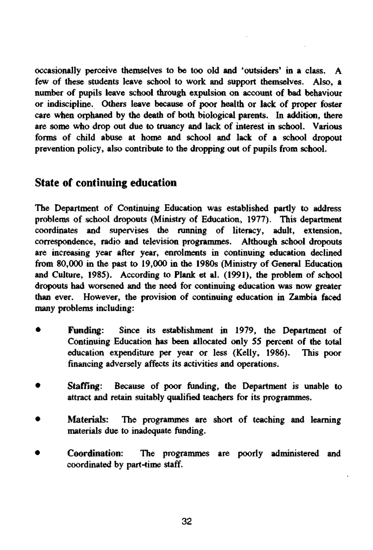occasionally perceive themselves to be too old and 'outsiders' in a class. A few of these students leave school to work and support themselves. Also, a number of pupils leave school through expulsion on account of bad behaviour or indiscipline. Others leave because of poor health or lack of proper foster care when orphaned by the death of both biological parents. In addition, there are some who drop out due to truancy and lack of interest in school. Various forms of child abuse at home and school and lack of a school dropout prevention policy, also contribute to the dropping out of pupils from school.

## State of continuing education

The Department of Continuing Education was established partly to address problems of school dropouts (Ministry of Education, 1977). This department coordinates and supervises the running of literacy, adult, extension, correspondence, radio and television programmes. Although school dropouts are increasing year after year, enrolments in continuing education declined from 80,000 in the past to 19,000 in the 1980s (Ministry of General Education and Culture, 1985). According to Plank et al. (1991), the problem of school dropouts had worsened and the need for continuing education was now greater than ever. However, the provision of continuing education in Zambia faced many problems including:

- • **Funding:** Since its establishment in 1979, the Department of Continuing Education has been allocated only 55 percent of the total education expenditure per year or less (Kelly, 1986). This poor financing adversely affects its activities and operations.
- Staffing: Because of poor funding, the Department is unable to attract and retain suitably qualified teachers for its programmes.
- Materials: The programmes are short of teaching and learning materials due to inadequate funding.
- • **Coordination:** The programmes are poorly administered and coordinated by part-time staff.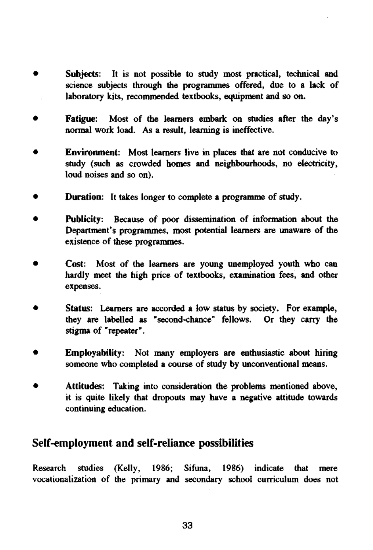- • **Subjects:** It is not possible to study most practical, technical and science subjects through the programmes offered, due to a lack of laboratory kits, recommended textbooks, equipment and so on.
- • **Fatigue:** Most of the learners embark on studies after the day's normal work load. As a result, learning is ineffective.
- • **Environment:** Most learners live in places that are not conducive to study (such as crowded homes and neighbourhoods, no electricity, loud noises and so on).
- • **Duration:** It takes longer to complete a programme of study.
- • **Publicity:** Because of poor dissemination of information about the Department's programmes, most potential learners are unaware of the existence of these programmes.
- Cost: Most of the learners are young unemployed youth who can hardly meet the high price of textbooks, examination fees, and other expenses.
- • **Status:** Learners are accorded a low status by society. For example, they are labelled as "second-chance" fellows. Or they carry the stigma of "repeater".
- **Employability:** Not many employers are enthusiastic about hiring someone who completed a course of study by unconventional means.
- • **Attitudes:** Taking into consideration the problems mentioned above, it is quite likely that dropouts may have a negative attitude towards continuing education.

## Self-employment and self-reliance possibilities

Research studies (Kelly, 1986; Sifuna, 1986) indicate that mere vocationalization of the primary and secondary school curriculum does not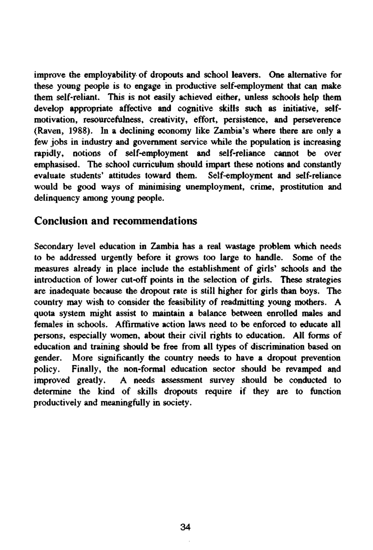improve the employability of dropouts and school leavers. One alternative for these young people is to engage in productive self-employment that can make them self-reliant. This is not easily achieved either, unless schools help them develop appropriate affective and cognitive skills such as initiative, selfmotivation, resourcefulness, creativity, effort, persistence, and perseverence (Raven, 1988). In a declining economy like Zambia's where there are only a few jobs in industry and government service while the population is increasing rapidly, notions of self-employment and self-reliance cannot be over emphasised. The school curriculum should impart these notions and constantly evaluate students' attitudes toward them. Self-employment and self-reliance would be good ways of minimising unemployment, crime, prostitution and delinquency among young people.

### Conclusion and recommendations

Secondary level education in Zambia has a real wastage problem which needs to be addressed urgently before it grows too large to handle. Some of the measures already in place include the establishment of girls' schools and the introduction of lower cut-off points in the selection of girls. These strategies are inadequate because the dropout rate is still higher for girls than boys. The country may wish to consider the feasibility of readmitting young mothers. A quota system might assist to maintain a balance between enrolled males and females in schools. Affirmative action laws need to be enforced to educate all persons, especially women, about their civil rights to education. All forms of education and training should be free from all types of discrimination based on gender. More significantly the country needs to have a dropout prevention policy. Finally, the non-formal education sector should be revamped and improved greatly. A needs assessment survey should be conducted to determine the kind of skills dropouts require if they are to function productively and meaningfully in society.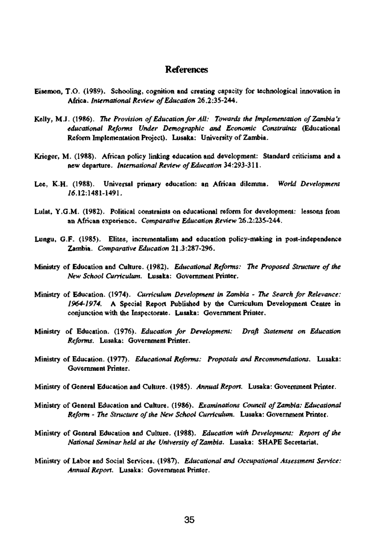#### References

- Eisemon, T.O. (1989). Schooling, cognition and creating capacity for technological innovation in **Africa.** *International Review of Education* **26.2:35-244.**
- **Kelly, M.J. (1986).** *The Provision of Education for All: Towards the Implementation of Zambia's educational Reforms Under Demographic and Economic Constraints* **(Educational**  Reform Implementation Project). Lusaka: University of Zambia.
- Krieger, M. (1988). African policy linking education and development: Standard criticisms and a **new departure.** *International Review of Education* **34:293-311.**
- Lee, K.H. (1988). Universal primary education: an African dilemma. *World Development 1*6.12:1481-1491.
- Lulat, Y.G.M. (1982). Political constraints on educational reform for development: lessons from an African experience. *Comparative Education Review* 26.2:235-244.
- Lungu, G.F. (1985). Elites, incrementalism and education policy-making in post-independence Zambia. *Comparative Education* 21.3:287-296.
- **Ministry of Education and Culture. (1982).** *Educational Reforms: The Proposed Structure of the New School Curriculum.* Lusaka: Government Printer.
- **Ministry of Education. (1974).** *Curriculum Development in Zambia The Search for Relevance: 1964-1974.* A Special Report Published by the Curriculum Development Centre in conjunction with the Inspectorate. Lusaka: Government Printer.
- **Ministry of Education. (1976).** *Education for Development: Draft Statement on Education Reforms.* Lusaka: Government Printer.
- **Ministry of Education. (1977).** *Educational Reforms: Proposals and Recommendations.* **Lusaka:**  Government Printer.
- Ministry of General Education and Culture. (1985). *Annual Report.* Lusaka: Government Printer.
- Ministry of General Education and Culture. (1986). *Examinations Council of Zambia: Educational Reform - The Structure of the New School Curriculum.* **Lusaka: Government Printer.**
- Ministry of General Education and Culture. (1988). *Education with Development: Report of the National Seminar held at the University of Zambia.* **Lusaka: SHAPE Secretariat.**
- **Ministry of Labor and Social Services. (1987).** *Educational and Occupational Assessment Service: Annual Report.* Lusaka: Government Printer.